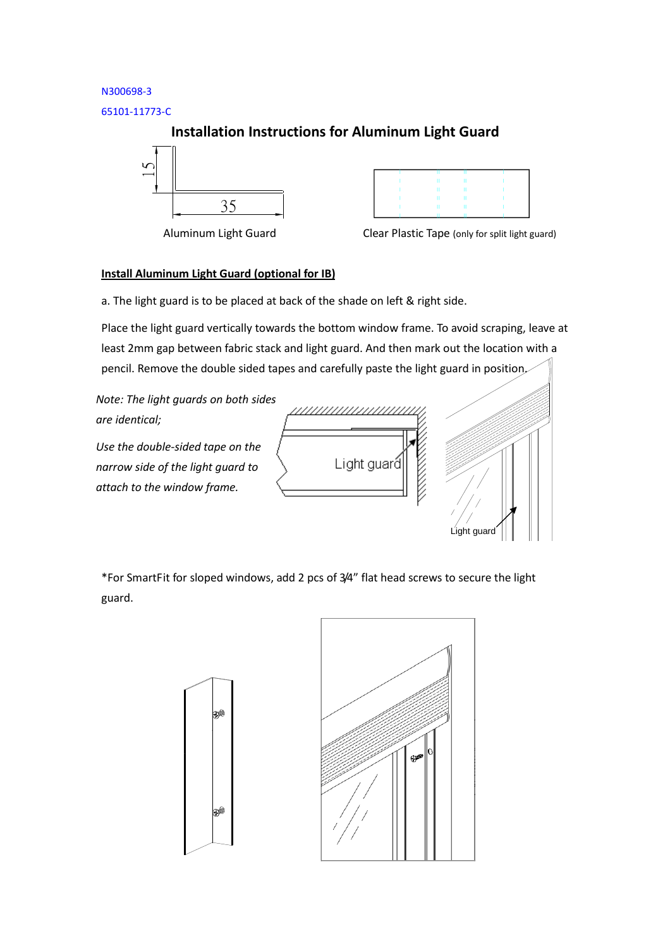N300698-3 65101-11773-C

## **Installation Instructions for Aluminum Light Guard**







## **Install Aluminum Light Guard (optional for IB)**

a. The light guard is to be placed at back of the shade on left & right side.

Place the light guard vertically towards the bottom window frame. To avoid scraping, leave at least 2mm gap between fabric stack and light guard. And then mark out the location with a pencil. Remove the double sided tapes and carefully paste the light guard in position.

*Note: The light guards on both sides are identical;* 

*Use the double-sided tape on the narrow side of the light guard to attach to the window frame.* 



\*For SmartFit for sloped windows, add 2 pcs of 3/4" flat head screws to secure the light guard.